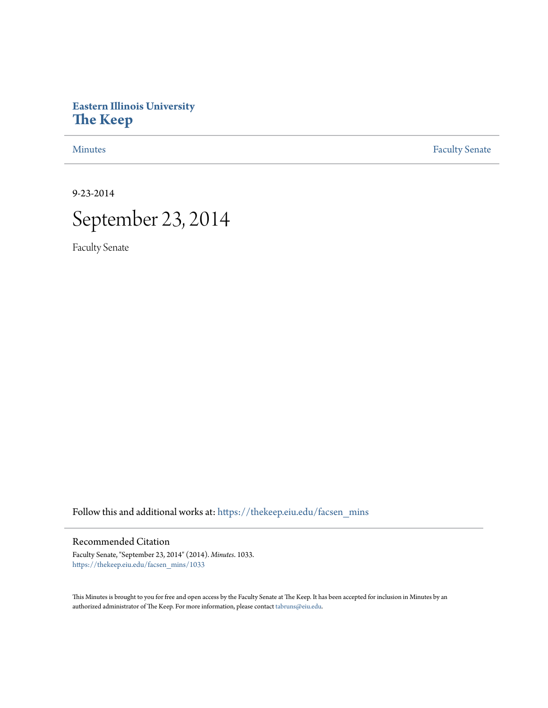## **Eastern Illinois University [The Keep](https://thekeep.eiu.edu?utm_source=thekeep.eiu.edu%2Ffacsen_mins%2F1033&utm_medium=PDF&utm_campaign=PDFCoverPages)**

[Minutes](https://thekeep.eiu.edu/facsen_mins?utm_source=thekeep.eiu.edu%2Ffacsen_mins%2F1033&utm_medium=PDF&utm_campaign=PDFCoverPages) **[Faculty Senate](https://thekeep.eiu.edu/fac_senate?utm_source=thekeep.eiu.edu%2Ffacsen_mins%2F1033&utm_medium=PDF&utm_campaign=PDFCoverPages)** 

9-23-2014



Faculty Senate

Follow this and additional works at: [https://thekeep.eiu.edu/facsen\\_mins](https://thekeep.eiu.edu/facsen_mins?utm_source=thekeep.eiu.edu%2Ffacsen_mins%2F1033&utm_medium=PDF&utm_campaign=PDFCoverPages)

#### Recommended Citation

Faculty Senate, "September 23, 2014" (2014). *Minutes*. 1033. [https://thekeep.eiu.edu/facsen\\_mins/1033](https://thekeep.eiu.edu/facsen_mins/1033?utm_source=thekeep.eiu.edu%2Ffacsen_mins%2F1033&utm_medium=PDF&utm_campaign=PDFCoverPages)

This Minutes is brought to you for free and open access by the Faculty Senate at The Keep. It has been accepted for inclusion in Minutes by an authorized administrator of The Keep. For more information, please contact [tabruns@eiu.edu](mailto:tabruns@eiu.edu).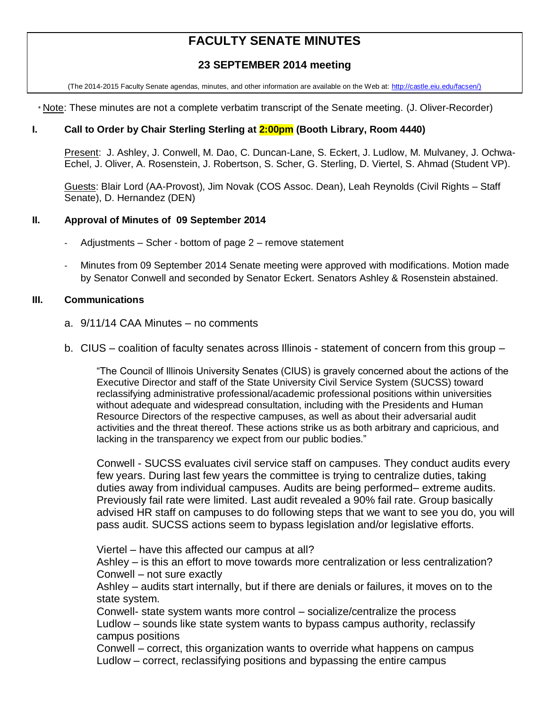# **FACULTY SENATE MINUTES**

## **23 SEPTEMBER 2014 meeting**

(The 2014-2015 Faculty Senate agendas, minutes, and other information are available on the Web at: [http://castle.eiu.edu/facsen/\)](http://castle.eiu.edu/facsen/)

\* Note: These minutes are not a complete verbatim transcript of the Senate meeting. (J. Oliver-Recorder)

#### **I. Call to Order by Chair Sterling Sterling at 2:00pm (Booth Library, Room 4440)**

Present: J. Ashley, J. Conwell, M. Dao, C. Duncan-Lane, S. Eckert, J. Ludlow, M. Mulvaney, J. Ochwa-Echel, J. Oliver, A. Rosenstein, J. Robertson, S. Scher, G. Sterling, D. Viertel, S. Ahmad (Student VP).

Guests: Blair Lord (AA-Provost), Jim Novak (COS Assoc. Dean), Leah Reynolds (Civil Rights – Staff Senate), D. Hernandez (DEN)

#### **II. Approval of Minutes of 09 September 2014**

- Adjustments Scher bottom of page 2 remove statement
- Minutes from 09 September 2014 Senate meeting were approved with modifications. Motion made by Senator Conwell and seconded by Senator Eckert. Senators Ashley & Rosenstein abstained.

#### **III. Communications**

- a. 9/11/14 CAA Minutes no comments
- b. CIUS coalition of faculty senates across Illinois statement of concern from this group –

"The Council of Illinois University Senates (CIUS) is gravely concerned about the actions of the Executive Director and staff of the State University Civil Service System (SUCSS) toward reclassifying administrative professional/academic professional positions within universities without adequate and widespread consultation, including with the Presidents and Human Resource Directors of the respective campuses, as well as about their adversarial audit activities and the threat thereof. These actions strike us as both arbitrary and capricious, and lacking in the transparency we expect from our public bodies."

Conwell - SUCSS evaluates civil service staff on campuses. They conduct audits every few years. During last few years the committee is trying to centralize duties, taking duties away from individual campuses. Audits are being performed– extreme audits. Previously fail rate were limited. Last audit revealed a 90% fail rate. Group basically advised HR staff on campuses to do following steps that we want to see you do, you will pass audit. SUCSS actions seem to bypass legislation and/or legislative efforts.

Viertel – have this affected our campus at all?

Ashley – is this an effort to move towards more centralization or less centralization? Conwell – not sure exactly

Ashley – audits start internally, but if there are denials or failures, it moves on to the state system.

Conwell- state system wants more control – socialize/centralize the process Ludlow – sounds like state system wants to bypass campus authority, reclassify campus positions

Conwell – correct, this organization wants to override what happens on campus Ludlow – correct, reclassifying positions and bypassing the entire campus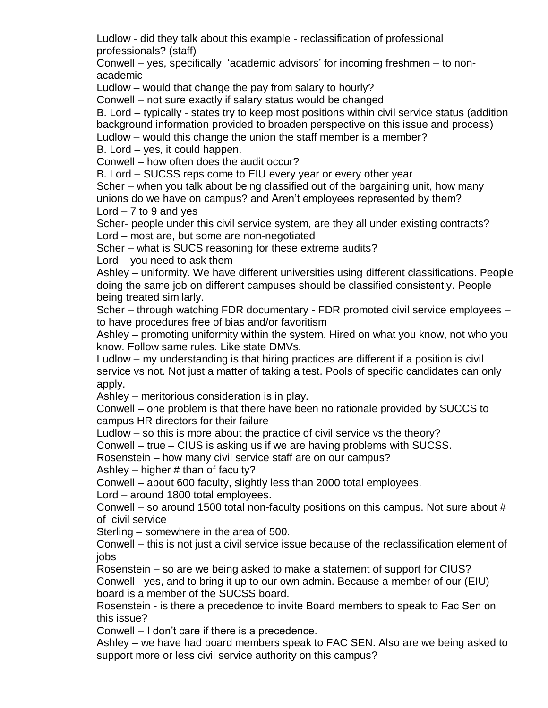Ludlow - did they talk about this example - reclassification of professional professionals? (staff)

Conwell – yes, specifically 'academic advisors' for incoming freshmen – to nonacademic

Ludlow – would that change the pay from salary to hourly?

Conwell – not sure exactly if salary status would be changed

B. Lord – typically - states try to keep most positions within civil service status (addition background information provided to broaden perspective on this issue and process)

Ludlow – would this change the union the staff member is a member?

B. Lord – yes, it could happen.

Conwell – how often does the audit occur?

B. Lord – SUCSS reps come to EIU every year or every other year

Scher – when you talk about being classified out of the bargaining unit, how many unions do we have on campus? and Aren't employees represented by them? Lord  $-7$  to 9 and yes

Scher- people under this civil service system, are they all under existing contracts? Lord – most are, but some are non-negotiated

Scher – what is SUCS reasoning for these extreme audits?

Lord – you need to ask them

Ashley – uniformity. We have different universities using different classifications. People doing the same job on different campuses should be classified consistently. People being treated similarly.

Scher – through watching FDR documentary - FDR promoted civil service employees – to have procedures free of bias and/or favoritism

Ashley – promoting uniformity within the system. Hired on what you know, not who you know. Follow same rules. Like state DMVs.

Ludlow – my understanding is that hiring practices are different if a position is civil service vs not. Not just a matter of taking a test. Pools of specific candidates can only apply.

Ashley – meritorious consideration is in play.

Conwell – one problem is that there have been no rationale provided by SUCCS to campus HR directors for their failure

Ludlow – so this is more about the practice of civil service vs the theory?

Conwell – true – CIUS is asking us if we are having problems with SUCSS.

Rosenstein – how many civil service staff are on our campus?

Ashley – higher  $#$  than of faculty?

Conwell – about 600 faculty, slightly less than 2000 total employees.

Lord – around 1800 total employees.

Conwell – so around 1500 total non-faculty positions on this campus. Not sure about # of civil service

Sterling – somewhere in the area of 500.

Conwell – this is not just a civil service issue because of the reclassification element of jobs

Rosenstein – so are we being asked to make a statement of support for CIUS? Conwell –yes, and to bring it up to our own admin. Because a member of our (EIU) board is a member of the SUCSS board.

Rosenstein - is there a precedence to invite Board members to speak to Fac Sen on this issue?

Conwell – I don't care if there is a precedence.

Ashley – we have had board members speak to FAC SEN. Also are we being asked to support more or less civil service authority on this campus?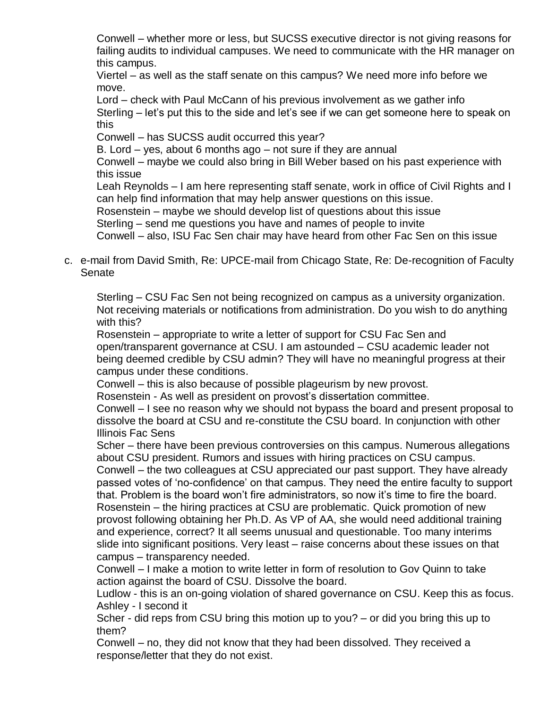Conwell – whether more or less, but SUCSS executive director is not giving reasons for failing audits to individual campuses. We need to communicate with the HR manager on this campus.

Viertel – as well as the staff senate on this campus? We need more info before we move.

Lord – check with Paul McCann of his previous involvement as we gather info Sterling – let's put this to the side and let's see if we can get someone here to speak on this

Conwell – has SUCSS audit occurred this year?

B. Lord – yes, about 6 months ago – not sure if they are annual

Conwell – maybe we could also bring in Bill Weber based on his past experience with this issue

Leah Reynolds – I am here representing staff senate, work in office of Civil Rights and I can help find information that may help answer questions on this issue.

Rosenstein – maybe we should develop list of questions about this issue

Sterling – send me questions you have and names of people to invite

Conwell – also, ISU Fac Sen chair may have heard from other Fac Sen on this issue

c. e-mail from David Smith, Re: UPCE-mail from Chicago State, Re: De-recognition of Faculty **Senate** 

Sterling – CSU Fac Sen not being recognized on campus as a university organization. Not receiving materials or notifications from administration. Do you wish to do anything with this?

Rosenstein – appropriate to write a letter of support for CSU Fac Sen and open/transparent governance at CSU. I am astounded – CSU academic leader not being deemed credible by CSU admin? They will have no meaningful progress at their campus under these conditions.

Conwell – this is also because of possible plageurism by new provost.

Rosenstein - As well as president on provost's dissertation committee.

Conwell – I see no reason why we should not bypass the board and present proposal to dissolve the board at CSU and re-constitute the CSU board. In conjunction with other Illinois Fac Sens

Scher – there have been previous controversies on this campus. Numerous allegations about CSU president. Rumors and issues with hiring practices on CSU campus.

Conwell – the two colleagues at CSU appreciated our past support. They have already passed votes of 'no-confidence' on that campus. They need the entire faculty to support that. Problem is the board won't fire administrators, so now it's time to fire the board. Rosenstein – the hiring practices at CSU are problematic. Quick promotion of new provost following obtaining her Ph.D. As VP of AA, she would need additional training and experience, correct? It all seems unusual and questionable. Too many interims slide into significant positions. Very least – raise concerns about these issues on that campus – transparency needed.

Conwell – I make a motion to write letter in form of resolution to Gov Quinn to take action against the board of CSU. Dissolve the board.

Ludlow - this is an on-going violation of shared governance on CSU. Keep this as focus. Ashley - I second it

Scher - did reps from CSU bring this motion up to you? – or did you bring this up to them?

Conwell – no, they did not know that they had been dissolved. They received a response/letter that they do not exist.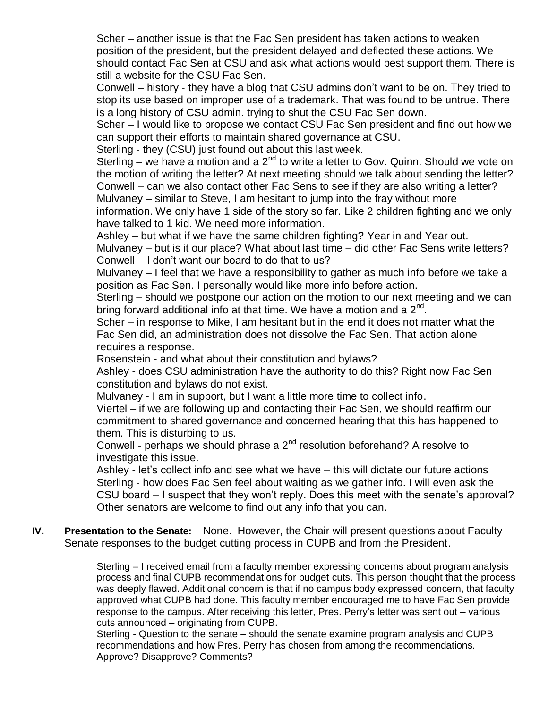Scher – another issue is that the Fac Sen president has taken actions to weaken position of the president, but the president delayed and deflected these actions. We should contact Fac Sen at CSU and ask what actions would best support them. There is still a website for the CSU Fac Sen.

Conwell – history - they have a blog that CSU admins don't want to be on. They tried to stop its use based on improper use of a trademark. That was found to be untrue. There is a long history of CSU admin. trying to shut the CSU Fac Sen down.

Scher – I would like to propose we contact CSU Fac Sen president and find out how we can support their efforts to maintain shared governance at CSU.

Sterling - they (CSU) just found out about this last week.

Sterling – we have a motion and a  $2^{nd}$  to write a letter to Gov. Quinn. Should we vote on the motion of writing the letter? At next meeting should we talk about sending the letter? Conwell – can we also contact other Fac Sens to see if they are also writing a letter? Mulvaney – similar to Steve, I am hesitant to jump into the fray without more

information. We only have 1 side of the story so far. Like 2 children fighting and we only have talked to 1 kid. We need more information.

Ashley – but what if we have the same children fighting? Year in and Year out.

Mulvaney – but is it our place? What about last time – did other Fac Sens write letters? Conwell – I don't want our board to do that to us?

Mulvaney – I feel that we have a responsibility to gather as much info before we take a position as Fac Sen. I personally would like more info before action.

Sterling – should we postpone our action on the motion to our next meeting and we can bring forward additional info at that time. We have a motion and a  $2^{nd}$ .

Scher – in response to Mike, I am hesitant but in the end it does not matter what the Fac Sen did, an administration does not dissolve the Fac Sen. That action alone requires a response.

Rosenstein - and what about their constitution and bylaws?

Ashley - does CSU administration have the authority to do this? Right now Fac Sen constitution and bylaws do not exist.

Mulvaney - I am in support, but I want a little more time to collect info.

Viertel – if we are following up and contacting their Fac Sen, we should reaffirm our commitment to shared governance and concerned hearing that this has happened to them. This is disturbing to us.

Conwell - perhaps we should phrase a 2<sup>nd</sup> resolution beforehand? A resolve to investigate this issue.

Ashley - let's collect info and see what we have – this will dictate our future actions Sterling - how does Fac Sen feel about waiting as we gather info. I will even ask the CSU board – I suspect that they won't reply. Does this meet with the senate's approval? Other senators are welcome to find out any info that you can.

**IV. Presentation to the Senate:** None. However, the Chair will present questions about Faculty Senate responses to the budget cutting process in CUPB and from the President.

> Sterling – I received email from a faculty member expressing concerns about program analysis process and final CUPB recommendations for budget cuts. This person thought that the process was deeply flawed. Additional concern is that if no campus body expressed concern, that faculty approved what CUPB had done. This faculty member encouraged me to have Fac Sen provide response to the campus. After receiving this letter, Pres. Perry's letter was sent out – various cuts announced – originating from CUPB.

Sterling - Question to the senate – should the senate examine program analysis and CUPB recommendations and how Pres. Perry has chosen from among the recommendations. Approve? Disapprove? Comments?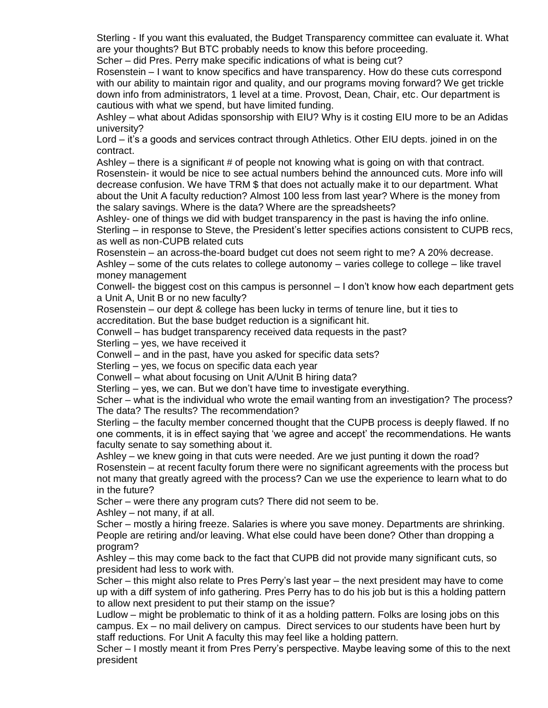Sterling - If you want this evaluated, the Budget Transparency committee can evaluate it. What are your thoughts? But BTC probably needs to know this before proceeding.

Scher – did Pres. Perry make specific indications of what is being cut?

Rosenstein – I want to know specifics and have transparency. How do these cuts correspond with our ability to maintain rigor and quality, and our programs moving forward? We get trickle down info from administrators, 1 level at a time. Provost, Dean, Chair, etc. Our department is cautious with what we spend, but have limited funding.

Ashley – what about Adidas sponsorship with EIU? Why is it costing EIU more to be an Adidas university?

Lord – it's a goods and services contract through Athletics. Other EIU depts. joined in on the contract.

Ashley – there is a significant # of people not knowing what is going on with that contract. Rosenstein- it would be nice to see actual numbers behind the announced cuts. More info will decrease confusion. We have TRM \$ that does not actually make it to our department. What about the Unit A faculty reduction? Almost 100 less from last year? Where is the money from the salary savings. Where is the data? Where are the spreadsheets?

Ashley- one of things we did with budget transparency in the past is having the info online. Sterling – in response to Steve, the President's letter specifies actions consistent to CUPB recs, as well as non-CUPB related cuts

Rosenstein – an across-the-board budget cut does not seem right to me? A 20% decrease. Ashley – some of the cuts relates to college autonomy – varies college to college – like travel

money management

Conwell- the biggest cost on this campus is personnel – I don't know how each department gets a Unit A, Unit B or no new faculty?

Rosenstein – our dept & college has been lucky in terms of tenure line, but it ties to accreditation. But the base budget reduction is a significant hit.

Conwell – has budget transparency received data requests in the past?

Sterling – yes, we have received it

Conwell – and in the past, have you asked for specific data sets?

Sterling – yes, we focus on specific data each year

Conwell – what about focusing on Unit A/Unit B hiring data?

Sterling – yes, we can. But we don't have time to investigate everything.

Scher – what is the individual who wrote the email wanting from an investigation? The process? The data? The results? The recommendation?

Sterling – the faculty member concerned thought that the CUPB process is deeply flawed. If no one comments, it is in effect saying that 'we agree and accept' the recommendations. He wants faculty senate to say something about it.

Ashley – we knew going in that cuts were needed. Are we just punting it down the road? Rosenstein – at recent faculty forum there were no significant agreements with the process but not many that greatly agreed with the process? Can we use the experience to learn what to do in the future?

Scher – were there any program cuts? There did not seem to be.

Ashley – not many, if at all.

Scher – mostly a hiring freeze. Salaries is where you save money. Departments are shrinking. People are retiring and/or leaving. What else could have been done? Other than dropping a program?

Ashley – this may come back to the fact that CUPB did not provide many significant cuts, so president had less to work with.

Scher – this might also relate to Pres Perry's last year – the next president may have to come up with a diff system of info gathering. Pres Perry has to do his job but is this a holding pattern to allow next president to put their stamp on the issue?

Ludlow – might be problematic to think of it as a holding pattern. Folks are losing jobs on this campus. Ex – no mail delivery on campus. Direct services to our students have been hurt by staff reductions. For Unit A faculty this may feel like a holding pattern.

Scher – I mostly meant it from Pres Perry's perspective. Maybe leaving some of this to the next president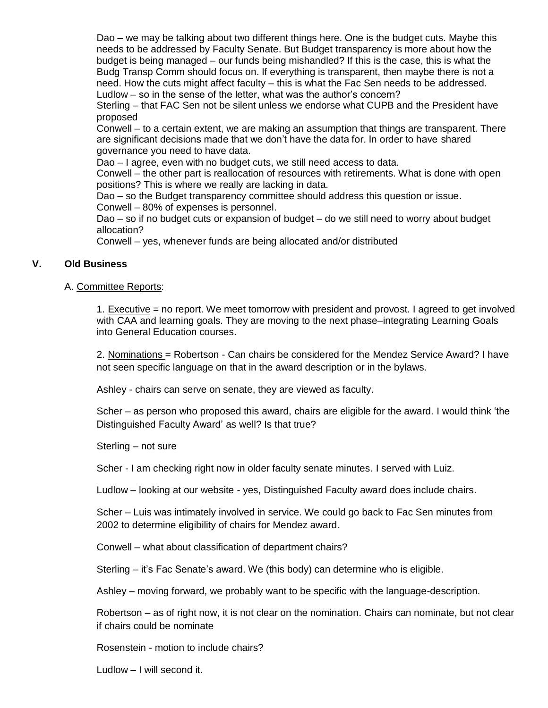Dao – we may be talking about two different things here. One is the budget cuts. Maybe this needs to be addressed by Faculty Senate. But Budget transparency is more about how the budget is being managed – our funds being mishandled? If this is the case, this is what the Budg Transp Comm should focus on. If everything is transparent, then maybe there is not a need. How the cuts might affect faculty – this is what the Fac Sen needs to be addressed. Ludlow – so in the sense of the letter, what was the author's concern?

Sterling – that FAC Sen not be silent unless we endorse what CUPB and the President have proposed

Conwell – to a certain extent, we are making an assumption that things are transparent. There are significant decisions made that we don't have the data for. In order to have shared governance you need to have data.

Dao – I agree, even with no budget cuts, we still need access to data.

Conwell – the other part is reallocation of resources with retirements. What is done with open positions? This is where we really are lacking in data.

Dao – so the Budget transparency committee should address this question or issue. Conwell – 80% of expenses is personnel.

Dao – so if no budget cuts or expansion of budget – do we still need to worry about budget allocation?

Conwell – yes, whenever funds are being allocated and/or distributed

#### **V. Old Business**

#### A. Committee Reports:

1. Executive = no report. We meet tomorrow with president and provost. I agreed to get involved with CAA and learning goals. They are moving to the next phase–integrating Learning Goals into General Education courses.

2. Nominations = Robertson - Can chairs be considered for the Mendez Service Award? I have not seen specific language on that in the award description or in the bylaws.

Ashley - chairs can serve on senate, they are viewed as faculty.

Scher – as person who proposed this award, chairs are eligible for the award. I would think 'the Distinguished Faculty Award' as well? Is that true?

Sterling – not sure

Scher - I am checking right now in older faculty senate minutes. I served with Luiz.

Ludlow – looking at our website - yes, Distinguished Faculty award does include chairs.

Scher – Luis was intimately involved in service. We could go back to Fac Sen minutes from 2002 to determine eligibility of chairs for Mendez award.

Conwell – what about classification of department chairs?

Sterling – it's Fac Senate's award. We (this body) can determine who is eligible.

Ashley – moving forward, we probably want to be specific with the language-description.

Robertson – as of right now, it is not clear on the nomination. Chairs can nominate, but not clear if chairs could be nominate

Rosenstein - motion to include chairs?

Ludlow – I will second it.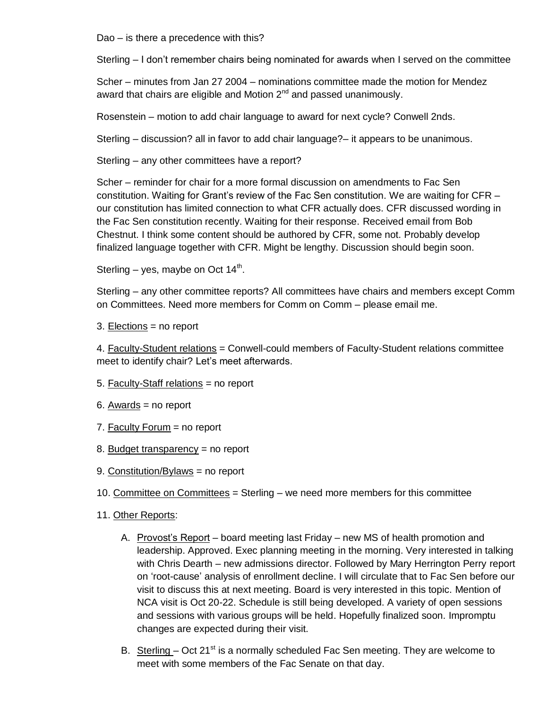Dao – is there a precedence with this?

Sterling – I don't remember chairs being nominated for awards when I served on the committee

Scher – minutes from Jan 27 2004 – nominations committee made the motion for Mendez award that chairs are eligible and Motion  $2^{nd}$  and passed unanimously.

Rosenstein – motion to add chair language to award for next cycle? Conwell 2nds.

Sterling – discussion? all in favor to add chair language?– it appears to be unanimous.

Sterling – any other committees have a report?

Scher – reminder for chair for a more formal discussion on amendments to Fac Sen constitution. Waiting for Grant's review of the Fac Sen constitution. We are waiting for CFR – our constitution has limited connection to what CFR actually does. CFR discussed wording in the Fac Sen constitution recently. Waiting for their response. Received email from Bob Chestnut. I think some content should be authored by CFR, some not. Probably develop finalized language together with CFR. Might be lengthy. Discussion should begin soon.

Sterling  $-$  yes, maybe on Oct 14<sup>th</sup>.

Sterling – any other committee reports? All committees have chairs and members except Comm on Committees. Need more members for Comm on Comm – please email me.

3. Elections = no report

4. Faculty-Student relations = Conwell-could members of Faculty-Student relations committee meet to identify chair? Let's meet afterwards.

- 5. Faculty-Staff relations = no report
- 6. Awards  $=$  no report
- 7. Faculty Forum = no report
- 8. Budget transparency = no report
- 9. Constitution/Bylaws = no report
- 10. Committee on Committees = Sterling we need more members for this committee
- 11. Other Reports:
	- A. Provost's Report board meeting last Friday new MS of health promotion and leadership. Approved. Exec planning meeting in the morning. Very interested in talking with Chris Dearth – new admissions director. Followed by Mary Herrington Perry report on 'root-cause' analysis of enrollment decline. I will circulate that to Fac Sen before our visit to discuss this at next meeting. Board is very interested in this topic. Mention of NCA visit is Oct 20-22. Schedule is still being developed. A variety of open sessions and sessions with various groups will be held. Hopefully finalized soon. Impromptu changes are expected during their visit.
	- B. Sterling  $-$  Oct 21<sup>st</sup> is a normally scheduled Fac Sen meeting. They are welcome to meet with some members of the Fac Senate on that day.